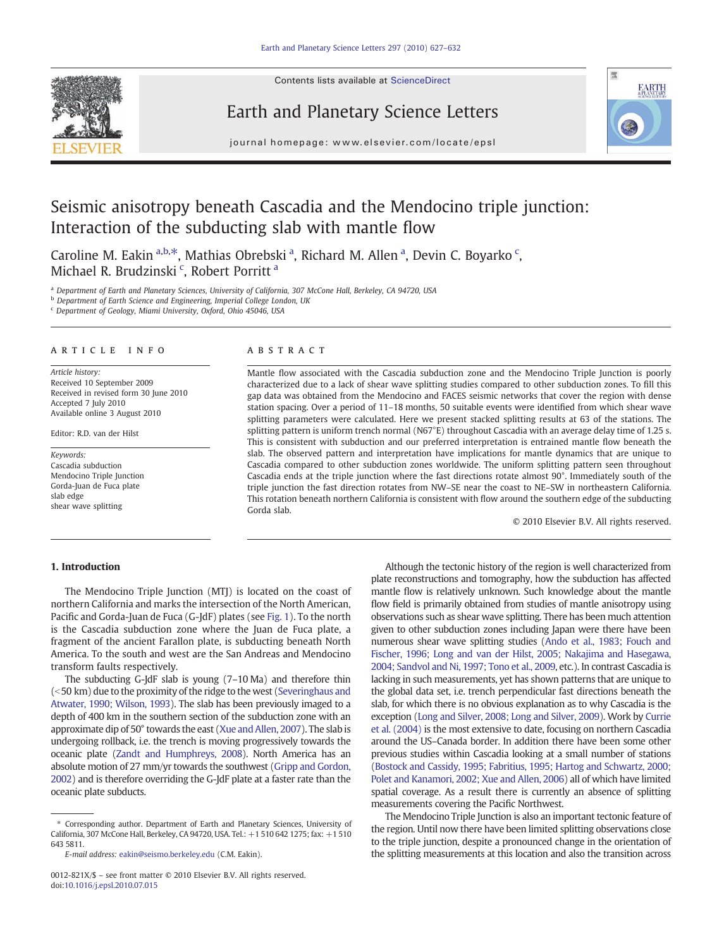Contents lists available at [ScienceDirect](http://www.sciencedirect.com/science/journal/0012821X)

Earth and Planetary Science Letters



journal homepage: www.elsevier.com/locate/epsl

## Seismic anisotropy beneath Cascadia and the Mendocino triple junction: Interaction of the subducting slab with mantle flow

Caroline M. Eakin [a,b,](#page-0-0)\*, M[a](#page-0-0)thias Obrebski a, Ri[c](#page-0-0)hard M. Allen a, Devin C. Boyarko c, Mi[c](#page-0-0)h[a](#page-0-0)el R. Brudzinski<sup>c</sup>, Robert Porritt<sup>a</sup>

a Department of Earth and Planetary Sciences, University of California, 307 McCone Hall, Berkeley, CA 94720, USA

**b** Department of Earth Science and Engineering, Imperial College London, UK

<sup>c</sup> Department of Geology, Miami University, Oxford, Ohio 45046, USA

#### article info abstract

Article history: Received 10 September 2009 Received in revised form 30 June 2010 Accepted 7 July 2010 Available online 3 August 2010

Editor: R.D. van der Hilst

Keywords: Cascadia subduction Mendocino Triple Junction Gorda-Juan de Fuca plate slab edge shear wave splitting

Mantle flow associated with the Cascadia subduction zone and the Mendocino Triple Junction is poorly characterized due to a lack of shear wave splitting studies compared to other subduction zones. To fill this gap data was obtained from the Mendocino and FACES seismic networks that cover the region with dense station spacing. Over a period of 11–18 months, 50 suitable events were identified from which shear wave splitting parameters were calculated. Here we present stacked splitting results at 63 of the stations. The splitting pattern is uniform trench normal (N67°E) throughout Cascadia with an average delay time of 1.25 s. This is consistent with subduction and our preferred interpretation is entrained mantle flow beneath the slab. The observed pattern and interpretation have implications for mantle dynamics that are unique to Cascadia compared to other subduction zones worldwide. The uniform splitting pattern seen throughout Cascadia ends at the triple junction where the fast directions rotate almost 90°. Immediately south of the triple junction the fast direction rotates from NW–SE near the coast to NE–SW in northeastern California. This rotation beneath northern California is consistent with flow around the southern edge of the subducting Gorda slab.

© 2010 Elsevier B.V. All rights reserved.

### 1. Introduction

The Mendocino Triple Junction (MTJ) is located on the coast of northern California and marks the intersection of the North American, Pacific and Gorda-Juan de Fuca (G-JdF) plates (see [Fig. 1](#page-1-0)). To the north is the Cascadia subduction zone where the Juan de Fuca plate, a fragment of the ancient Farallon plate, is subducting beneath North America. To the south and west are the San Andreas and Mendocino transform faults respectively.

The subducting G-JdF slab is young (7–10 Ma) and therefore thin  $(<$  50 km) due to the proximity of the ridge to the west [\(Severinghaus and](#page-5-0) [Atwater, 1990; Wilson, 1993](#page-5-0)). The slab has been previously imaged to a depth of 400 km in the southern section of the subduction zone with an approximate dip of 50° towards the east ([Xue and Allen, 2007\)](#page-5-0). The slab is undergoing rollback, i.e. the trench is moving progressively towards the oceanic plate [\(Zandt and Humphreys, 2008\)](#page-5-0). North America has an absolute motion of 27 mm/yr towards the southwest [\(Gripp and Gordon,](#page-5-0) [2002\)](#page-5-0) and is therefore overriding the G-JdF plate at a faster rate than the oceanic plate subducts.

Although the tectonic history of the region is well characterized from plate reconstructions and tomography, how the subduction has affected mantle flow is relatively unknown. Such knowledge about the mantle flow field is primarily obtained from studies of mantle anisotropy using observations such as shear wave splitting. There has been much attention given to other subduction zones including Japan were there have been numerous shear wave splitting studies [\(Ando et al., 1983; Fouch and](#page-5-0) [Fischer, 1996; Long and van der Hilst, 2005; Nakajima and Hasegawa,](#page-5-0) [2004; Sandvol and Ni, 1997; Tono et al., 2009,](#page-5-0) etc.). In contrast Cascadia is lacking in such measurements, yet has shown patterns that are unique to the global data set, i.e. trench perpendicular fast directions beneath the slab, for which there is no obvious explanation as to why Cascadia is the exception ([Long and Silver, 2008;](#page-5-0) Long and Silver, 2009). Work by [Currie](#page-5-0) [et al. \(2004\)](#page-5-0) is the most extensive to date, focusing on northern Cascadia around the US–Canada border. In addition there have been some other previous studies within Cascadia looking at a small number of stations [\(Bostock and Cassidy, 1995; Fabritius, 1995; Hartog and Schwartz, 2000;](#page-5-0) [Polet and Kanamori, 2002; Xue and Allen, 2006\)](#page-5-0) all of which have limited spatial coverage. As a result there is currently an absence of splitting measurements covering the Pacific Northwest.

The Mendocino Triple Junction is also an important tectonic feature of the region. Until now there have been limited splitting observations close to the triple junction, despite a pronounced change in the orientation of the splitting measurements at this location and also the transition across

<sup>⁎</sup> Corresponding author. Department of Earth and Planetary Sciences, University of California, 307 McCone Hall, Berkeley, CA 94720, USA. Tel.: +1 510 642 1275; fax: +1 510 643 5811.

E-mail address: [eakin@seismo.berkeley.edu](mailto:eakin@seismo.berkeley.edu) (C.M. Eakin).

<span id="page-0-0"></span><sup>0012-821</sup>X/\$ – see front matter © 2010 Elsevier B.V. All rights reserved. doi:[10.1016/j.epsl.2010.07.015](http://dx.doi.org/10.1016/j.epsl.2010.07.015)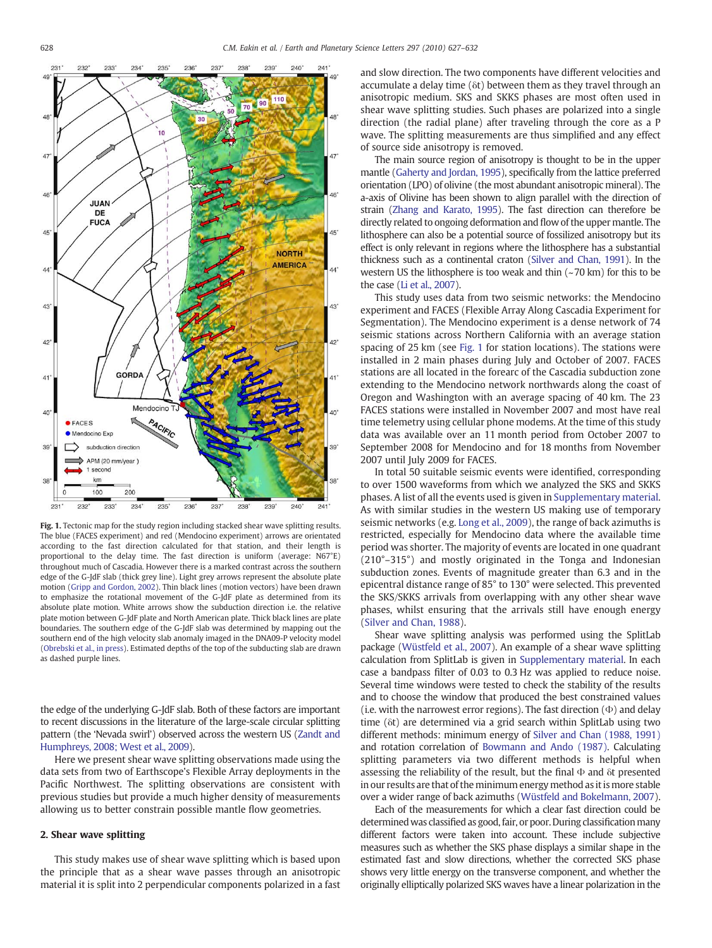

Fig. 1. Tectonic map for the study region including stacked shear wave splitting results. The blue (FACES experiment) and red (Mendocino experiment) arrows are orientated according to the fast direction calculated for that station, and their length is proportional to the delay time. The fast direction is uniform (average: N67°E) throughout much of Cascadia. However there is a marked contrast across the southern edge of the G-JdF slab (thick grey line). Light grey arrows represent the absolute plate motion [\(Gripp and Gordon, 2002](#page-5-0)). Thin black lines (motion vectors) have been drawn to emphasize the rotational movement of the G-JdF plate as determined from its absolute plate motion. White arrows show the subduction direction i.e. the relative plate motion between G-JdF plate and North American plate. Thick black lines are plate boundaries. The southern edge of the G-JdF slab was determined by mapping out the southern end of the high velocity slab anomaly imaged in the DNA09-P velocity model ([Obrebski et al., in press](#page-5-0)). Estimated depths of the top of the subducting slab are drawn as dashed purple lines.

the edge of the underlying G-JdF slab. Both of these factors are important to recent discussions in the literature of the large-scale circular splitting pattern (the 'Nevada swirl') observed across the western US [\(Zandt and](#page-5-0) [Humphreys, 2008; West et al., 2009](#page-5-0)).

Here we present shear wave splitting observations made using the data sets from two of Earthscope's Flexible Array deployments in the Pacific Northwest. The splitting observations are consistent with previous studies but provide a much higher density of measurements allowing us to better constrain possible mantle flow geometries.

#### 2. Shear wave splitting

<span id="page-1-0"></span>This study makes use of shear wave splitting which is based upon the principle that as a shear wave passes through an anisotropic material it is split into 2 perpendicular components polarized in a fast and slow direction. The two components have different velocities and accumulate a delay time (δt) between them as they travel through an anisotropic medium. SKS and SKKS phases are most often used in shear wave splitting studies. Such phases are polarized into a single direction (the radial plane) after traveling through the core as a P wave. The splitting measurements are thus simplified and any effect of source side anisotropy is removed.

The main source region of anisotropy is thought to be in the upper mantle [\(Gaherty and Jordan, 1995](#page-5-0)), specifically from the lattice preferred orientation (LPO) of olivine (the most abundant anisotropic mineral). The a-axis of Olivine has been shown to align parallel with the direction of strain ([Zhang and Karato, 1995](#page-5-0)). The fast direction can therefore be directly related to ongoing deformation and flow of the upper mantle. The lithosphere can also be a potential source of fossilized anisotropy but its effect is only relevant in regions where the lithosphere has a substantial thickness such as a continental craton ([Silver and Chan, 1991](#page-5-0)). In the western US the lithosphere is too weak and thin  $(-70 \text{ km})$  for this to be the case [\(Li et al., 2007\)](#page-5-0).

This study uses data from two seismic networks: the Mendocino experiment and FACES (Flexible Array Along Cascadia Experiment for Segmentation). The Mendocino experiment is a dense network of 74 seismic stations across Northern California with an average station spacing of 25 km (see [Fig. 1](#page-1-0) for station locations). The stations were installed in 2 main phases during July and October of 2007. FACES stations are all located in the forearc of the Cascadia subduction zone extending to the Mendocino network northwards along the coast of Oregon and Washington with an average spacing of 40 km. The 23 FACES stations were installed in November 2007 and most have real time telemetry using cellular phone modems. At the time of this study data was available over an 11 month period from October 2007 to September 2008 for Mendocino and for 18 months from November 2007 until July 2009 for FACES.

In total 50 suitable seismic events were identified, corresponding to over 1500 waveforms from which we analyzed the SKS and SKKS phases. A list of all the events used is given in Supplementary material. As with similar studies in the western US making use of temporary seismic networks (e.g. [Long et al., 2009\)](#page-5-0), the range of back azimuths is restricted, especially for Mendocino data where the available time period was shorter. The majority of events are located in one quadrant (210°–315°) and mostly originated in the Tonga and Indonesian subduction zones. Events of magnitude greater than 6.3 and in the epicentral distance range of 85° to 130° were selected. This prevented the SKS/SKKS arrivals from overlapping with any other shear wave phases, whilst ensuring that the arrivals still have enough energy [\(Silver and Chan, 1988\)](#page-5-0).

Shear wave splitting analysis was performed using the SplitLab package ([Wüstfeld et al., 2007](#page-5-0)). An example of a shear wave splitting calculation from SplitLab is given in Supplementary material. In each case a bandpass filter of 0.03 to 0.3 Hz was applied to reduce noise. Several time windows were tested to check the stability of the results and to choose the window that produced the best constrained values (i.e. with the narrowest error regions). The fast direction  $(\Phi)$  and delay time (δt) are determined via a grid search within SplitLab using two different methods: minimum energy of [Silver and Chan \(1988, 1991\)](#page-5-0) and rotation correlation of [Bowmann and Ando \(1987\).](#page-5-0) Calculating splitting parameters via two different methods is helpful when assessing the reliability of the result, but the final  $\Phi$  and  $\delta t$  presented in our results are that of the minimum energy method as it is more stable over a wider range of back azimuths ([Wüstfeld and Bokelmann, 2007\)](#page-5-0).

Each of the measurements for which a clear fast direction could be determined was classified as good, fair, or poor. During classification many different factors were taken into account. These include subjective measures such as whether the SKS phase displays a similar shape in the estimated fast and slow directions, whether the corrected SKS phase shows very little energy on the transverse component, and whether the originally elliptically polarized SKS waves have a linear polarization in the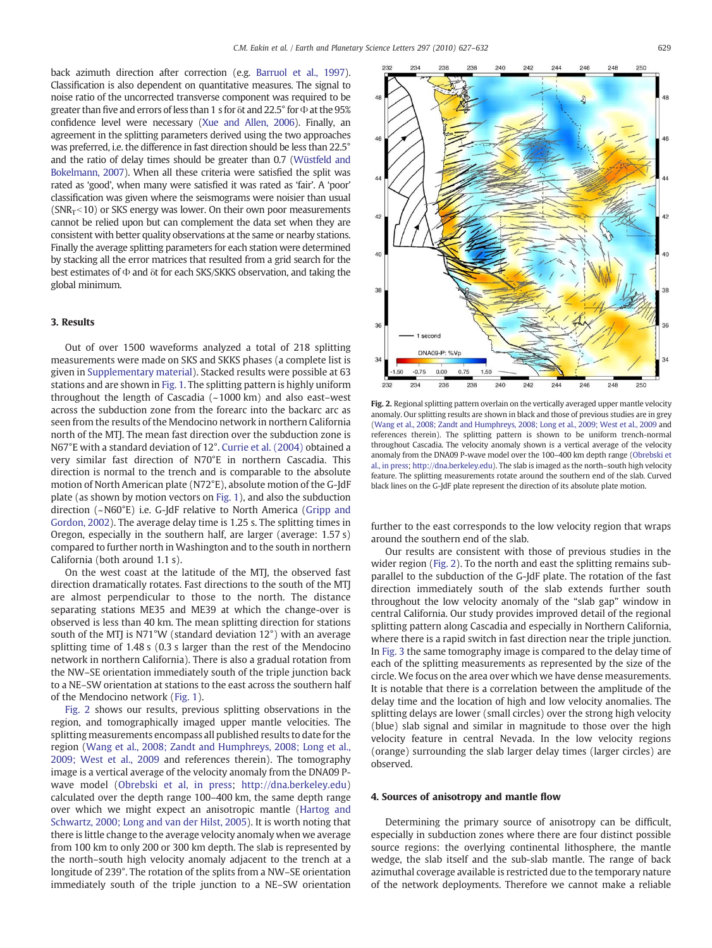back azimuth direction after correction (e.g. [Barruol et al., 1997](#page-5-0)). Classification is also dependent on quantitative measures. The signal to noise ratio of the uncorrected transverse component was required to be greater than five and errors of less than 1 s for δt and 22.5° for Φ at the 95% confidence level were necessary [\(Xue and Allen, 2006](#page-5-0)). Finally, an agreement in the splitting parameters derived using the two approaches was preferred, i.e. the difference in fast direction should be less than 22.5° and the ratio of delay times should be greater than 0.7 ([Wüstfeld and](#page-5-0) [Bokelmann, 2007\)](#page-5-0). When all these criteria were satisfied the split was rated as 'good', when many were satisfied it was rated as 'fair'. A 'poor' classification was given where the seismograms were noisier than usual  $(SNR_T<10)$  or SKS energy was lower. On their own poor measurements cannot be relied upon but can complement the data set when they are consistent with better quality observations at the same or nearby stations. Finally the average splitting parameters for each station were determined by stacking all the error matrices that resulted from a grid search for the best estimates of Φ and δt for each SKS/SKKS observation, and taking the global minimum.

#### 3. Results

Out of over 1500 waveforms analyzed a total of 218 splitting measurements were made on SKS and SKKS phases (a complete list is given in Supplementary material). Stacked results were possible at 63 stations and are shown in [Fig. 1.](#page-1-0) The splitting pattern is highly uniform throughout the length of Cascadia  $(-1000 \text{ km})$  and also east-west across the subduction zone from the forearc into the backarc arc as seen from the results of the Mendocino network in northern California north of the MTJ. The mean fast direction over the subduction zone is N67°E with a standard deviation of 12°. [Currie et al. \(2004\)](#page-5-0) obtained a very similar fast direction of N70°E in northern Cascadia. This direction is normal to the trench and is comparable to the absolute motion of North American plate (N72°E), absolute motion of the G-JdF plate (as shown by motion vectors on [Fig. 1\)](#page-1-0), and also the subduction direction (~N60°E) i.e. G-JdF relative to North America [\(Gripp and](#page-5-0) [Gordon, 2002\)](#page-5-0). The average delay time is 1.25 s. The splitting times in Oregon, especially in the southern half, are larger (average: 1.57 s) compared to further north in Washington and to the south in northern California (both around 1.1 s).

On the west coast at the latitude of the MTJ, the observed fast direction dramatically rotates. Fast directions to the south of the MTJ are almost perpendicular to those to the north. The distance separating stations ME35 and ME39 at which the change-over is observed is less than 40 km. The mean splitting direction for stations south of the MTJ is N71°W (standard deviation 12°) with an average splitting time of 1.48 s (0.3 s larger than the rest of the Mendocino network in northern California). There is also a gradual rotation from the NW–SE orientation immediately south of the triple junction back to a NE–SW orientation at stations to the east across the southern half of the Mendocino network [\(Fig. 1](#page-1-0)).

<span id="page-2-0"></span>[Fig. 2](#page-2-0) shows our results, previous splitting observations in the region, and tomographically imaged upper mantle velocities. The splitting measurements encompass all published results to date for the region [\(Wang et al., 2008; Zandt and Humphreys, 2008; Long et al.,](#page-5-0) [2009; West et al., 2009](#page-5-0) and references therein). The tomography image is a vertical average of the velocity anomaly from the DNA09 Pwave model ([Obrebski et al, in press](#page-5-0); <http://dna.berkeley.edu>) calculated over the depth range 100–400 km, the same depth range over which we might expect an anisotropic mantle ([Hartog and](#page-5-0) [Schwartz, 2000; Long and van der Hilst, 2005](#page-5-0)). It is worth noting that there is little change to the average velocity anomaly when we average from 100 km to only 200 or 300 km depth. The slab is represented by the north–south high velocity anomaly adjacent to the trench at a longitude of 239°. The rotation of the splits from a NW–SE orientation immediately south of the triple junction to a NE–SW orientation



Fig. 2. Regional splitting pattern overlain on the vertically averaged upper mantle velocity anomaly. Our splitting results are shown in black and those of previous studies are in grey [\(Wang et al., 2008; Zandt and Humphreys, 2008; Long et al., 2009; West et al., 2009](#page-5-0) and references therein). The splitting pattern is shown to be uniform trench-normal throughout Cascadia. The velocity anomaly shown is a vertical average of the velocity anomaly from the DNA09 P-wave model over the 100–400 km depth range ([Obrebski et](#page-5-0) [al., in press;](#page-5-0) <http://dna.berkeley.edu>). The slab is imaged as the north–south high velocity feature. The splitting measurements rotate around the southern end of the slab. Curved black lines on the G-JdF plate represent the direction of its absolute plate motion.

further to the east corresponds to the low velocity region that wraps around the southern end of the slab.

Our results are consistent with those of previous studies in the wider region ([Fig. 2\)](#page-2-0). To the north and east the splitting remains subparallel to the subduction of the G-JdF plate. The rotation of the fast direction immediately south of the slab extends further south throughout the low velocity anomaly of the "slab gap" window in central California. Our study provides improved detail of the regional splitting pattern along Cascadia and especially in Northern California, where there is a rapid switch in fast direction near the triple junction. In [Fig. 3](#page-3-0) the same tomography image is compared to the delay time of each of the splitting measurements as represented by the size of the circle. We focus on the area over which we have dense measurements. It is notable that there is a correlation between the amplitude of the delay time and the location of high and low velocity anomalies. The splitting delays are lower (small circles) over the strong high velocity (blue) slab signal and similar in magnitude to those over the high velocity feature in central Nevada. In the low velocity regions (orange) surrounding the slab larger delay times (larger circles) are observed.

#### 4. Sources of anisotropy and mantle flow

Determining the primary source of anisotropy can be difficult, especially in subduction zones where there are four distinct possible source regions: the overlying continental lithosphere, the mantle wedge, the slab itself and the sub-slab mantle. The range of back azimuthal coverage available is restricted due to the temporary nature of the network deployments. Therefore we cannot make a reliable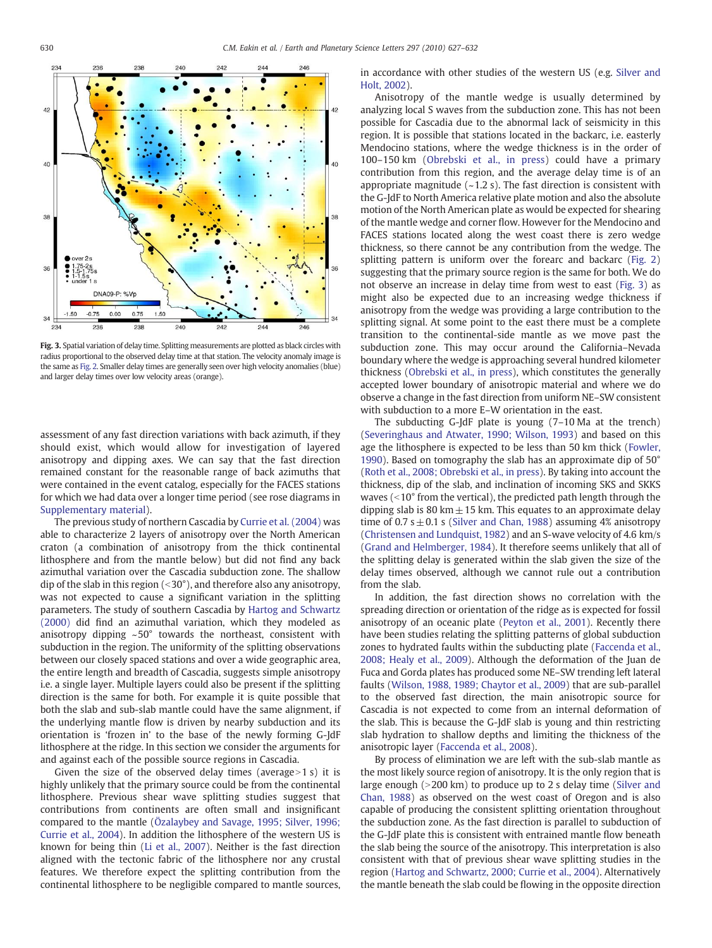

Fig. 3. Spatial variation of delay time. Splitting measurements are plotted as black circles with radius proportional to the observed delay time at that station. The velocity anomaly image is the same as [Fig. 2.](#page-2-0) Smaller delay times are generally seen over high velocity anomalies (blue) and larger delay times over low velocity areas (orange).

assessment of any fast direction variations with back azimuth, if they should exist, which would allow for investigation of layered anisotropy and dipping axes. We can say that the fast direction remained constant for the reasonable range of back azimuths that were contained in the event catalog, especially for the FACES stations for which we had data over a longer time period (see rose diagrams in Supplementary material).

The previous study of northern Cascadia by [Currie et al. \(2004\)](#page-5-0) was able to characterize 2 layers of anisotropy over the North American craton (a combination of anisotropy from the thick continental lithosphere and from the mantle below) but did not find any back azimuthal variation over the Cascadia subduction zone. The shallow dip of the slab in this region  $(< 30^{\circ}$ ), and therefore also any anisotropy, was not expected to cause a significant variation in the splitting parameters. The study of southern Cascadia by [Hartog and Schwartz](#page-5-0) [\(2000\)](#page-5-0) did find an azimuthal variation, which they modeled as anisotropy dipping  $\sim$  50 $^{\circ}$  towards the northeast, consistent with subduction in the region. The uniformity of the splitting observations between our closely spaced stations and over a wide geographic area, the entire length and breadth of Cascadia, suggests simple anisotropy i.e. a single layer. Multiple layers could also be present if the splitting direction is the same for both. For example it is quite possible that both the slab and sub-slab mantle could have the same alignment, if the underlying mantle flow is driven by nearby subduction and its orientation is 'frozen in' to the base of the newly forming G-JdF lithosphere at the ridge. In this section we consider the arguments for and against each of the possible source regions in Cascadia.

<span id="page-3-0"></span>Given the size of the observed delay times (average  $>1$  s) it is highly unlikely that the primary source could be from the continental lithosphere. Previous shear wave splitting studies suggest that contributions from continents are often small and insignificant compared to the mantle [\(Özalaybey and Savage, 1995; Silver, 1996;](#page-5-0) [Currie et al., 2004\)](#page-5-0). In addition the lithosphere of the western US is known for being thin ([Li et al., 2007](#page-5-0)). Neither is the fast direction aligned with the tectonic fabric of the lithosphere nor any crustal features. We therefore expect the splitting contribution from the continental lithosphere to be negligible compared to mantle sources, in accordance with other studies of the western US (e.g. [Silver and](#page-5-0) [Holt, 2002\)](#page-5-0).

Anisotropy of the mantle wedge is usually determined by analyzing local S waves from the subduction zone. This has not been possible for Cascadia due to the abnormal lack of seismicity in this region. It is possible that stations located in the backarc, i.e. easterly Mendocino stations, where the wedge thickness is in the order of 100–150 km [\(Obrebski et al., in press](#page-5-0)) could have a primary contribution from this region, and the average delay time is of an appropriate magnitude  $(-1.2 \text{ s})$ . The fast direction is consistent with the G-JdF to North America relative plate motion and also the absolute motion of the North American plate as would be expected for shearing of the mantle wedge and corner flow. However for the Mendocino and FACES stations located along the west coast there is zero wedge thickness, so there cannot be any contribution from the wedge. The splitting pattern is uniform over the forearc and backarc [\(Fig. 2](#page-2-0)) suggesting that the primary source region is the same for both. We do not observe an increase in delay time from west to east ([Fig. 3\)](#page-3-0) as might also be expected due to an increasing wedge thickness if anisotropy from the wedge was providing a large contribution to the splitting signal. At some point to the east there must be a complete transition to the continental-side mantle as we move past the subduction zone. This may occur around the California–Nevada boundary where the wedge is approaching several hundred kilometer thickness [\(Obrebski et al., in press\)](#page-5-0), which constitutes the generally accepted lower boundary of anisotropic material and where we do observe a change in the fast direction from uniform NE–SW consistent with subduction to a more E–W orientation in the east.

The subducting G-JdF plate is young (7–10 Ma at the trench) [\(Severinghaus and Atwater, 1990; Wilson, 1993\)](#page-5-0) and based on this age the lithosphere is expected to be less than 50 km thick [\(Fowler,](#page-5-0) [1990\)](#page-5-0). Based on tomography the slab has an approximate dip of 50° [\(Roth et al., 2008; Obrebski et al., in press](#page-5-0)). By taking into account the thickness, dip of the slab, and inclination of incoming SKS and SKKS waves ( $<$ 10 $\degree$  from the vertical), the predicted path length through the dipping slab is 80 km $\pm$  15 km. This equates to an approximate delay time of 0.7 s $\pm$ 0.1 s ([Silver and Chan, 1988\)](#page-5-0) assuming 4% anisotropy [\(Christensen and Lundquist, 1982](#page-5-0)) and an S-wave velocity of 4.6 km/s [\(Grand and Helmberger, 1984](#page-5-0)). It therefore seems unlikely that all of the splitting delay is generated within the slab given the size of the delay times observed, although we cannot rule out a contribution from the slab.

In addition, the fast direction shows no correlation with the spreading direction or orientation of the ridge as is expected for fossil anisotropy of an oceanic plate ([Peyton et al., 2001\)](#page-5-0). Recently there have been studies relating the splitting patterns of global subduction zones to hydrated faults within the subducting plate [\(Faccenda et al.,](#page-5-0) [2008; Healy et al., 2009](#page-5-0)). Although the deformation of the Juan de Fuca and Gorda plates has produced some NE–SW trending left lateral faults ([Wilson, 1988, 1989; Chaytor et al., 2009](#page-5-0)) that are sub-parallel to the observed fast direction, the main anisotropic source for Cascadia is not expected to come from an internal deformation of the slab. This is because the G-JdF slab is young and thin restricting slab hydration to shallow depths and limiting the thickness of the anisotropic layer ([Faccenda et al., 2008](#page-5-0)).

By process of elimination we are left with the sub-slab mantle as the most likely source region of anisotropy. It is the only region that is large enough  $(>200 \text{ km})$  to produce up to 2 s delay time [\(Silver and](#page-5-0) [Chan, 1988\)](#page-5-0) as observed on the west coast of Oregon and is also capable of producing the consistent splitting orientation throughout the subduction zone. As the fast direction is parallel to subduction of the G-JdF plate this is consistent with entrained mantle flow beneath the slab being the source of the anisotropy. This interpretation is also consistent with that of previous shear wave splitting studies in the region ([Hartog and Schwartz, 2000; Currie et al., 2004](#page-5-0)). Alternatively the mantle beneath the slab could be flowing in the opposite direction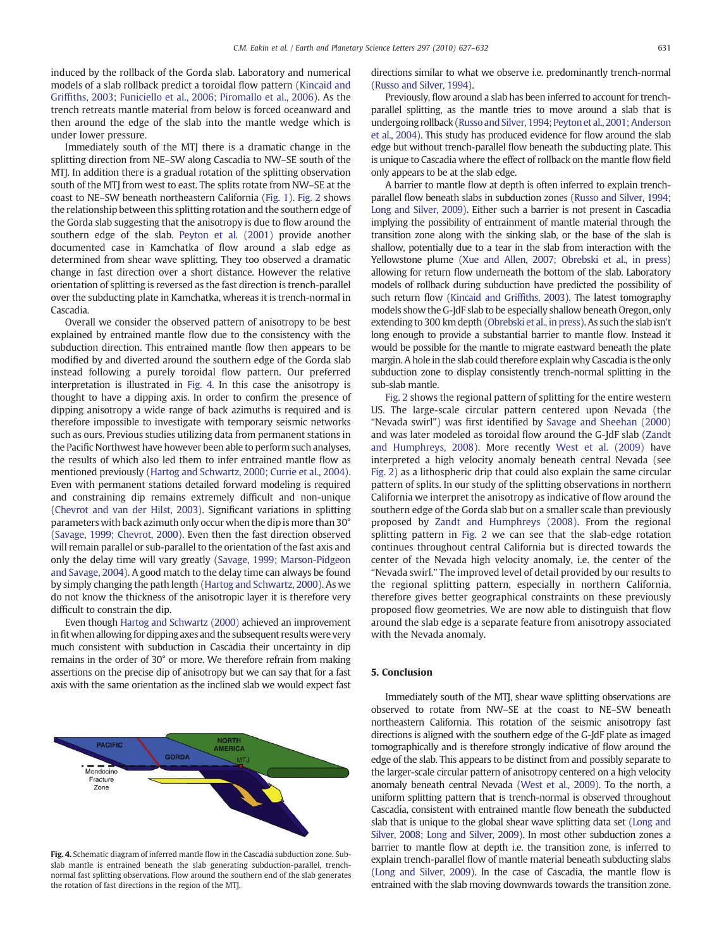induced by the rollback of the Gorda slab. Laboratory and numerical models of a slab rollback predict a toroidal flow pattern ([Kincaid and](#page-5-0) Griffi[ths, 2003; Funiciello et al., 2006; Piromallo et al., 2006](#page-5-0)). As the trench retreats mantle material from below is forced oceanward and then around the edge of the slab into the mantle wedge which is under lower pressure.

Immediately south of the MTJ there is a dramatic change in the splitting direction from NE–SW along Cascadia to NW–SE south of the MTJ. In addition there is a gradual rotation of the splitting observation south of the MTJ from west to east. The splits rotate from NW–SE at the coast to NE–SW beneath northeastern California [\(Fig. 1](#page-1-0)). [Fig. 2](#page-2-0) shows the relationship between this splitting rotation and the southern edge of the Gorda slab suggesting that the anisotropy is due to flow around the southern edge of the slab. [Peyton et al. \(2001\)](#page-5-0) provide another documented case in Kamchatka of flow around a slab edge as determined from shear wave splitting. They too observed a dramatic change in fast direction over a short distance. However the relative orientation of splitting is reversed as the fast direction is trench-parallel over the subducting plate in Kamchatka, whereas it is trench-normal in Cascadia.

Overall we consider the observed pattern of anisotropy to be best explained by entrained mantle flow due to the consistency with the subduction direction. This entrained mantle flow then appears to be modified by and diverted around the southern edge of the Gorda slab instead following a purely toroidal flow pattern. Our preferred interpretation is illustrated in [Fig. 4](#page-4-0). In this case the anisotropy is thought to have a dipping axis. In order to confirm the presence of dipping anisotropy a wide range of back azimuths is required and is therefore impossible to investigate with temporary seismic networks such as ours. Previous studies utilizing data from permanent stations in the Pacific Northwest have however been able to perform such analyses, the results of which also led them to infer entrained mantle flow as mentioned previously ([Hartog and Schwartz, 2000; Currie et al., 2004](#page-5-0)). Even with permanent stations detailed forward modeling is required and constraining dip remains extremely difficult and non-unique [\(Chevrot and van der Hilst, 2003\)](#page-5-0). Significant variations in splitting parameters with back azimuth only occur when the dip is more than 30° [\(Savage, 1999; Chevrot, 2000\)](#page-5-0). Even then the fast direction observed will remain parallel or sub-parallel to the orientation of the fast axis and only the delay time will vary greatly [\(Savage, 1999; Marson-Pidgeon](#page-5-0) [and Savage, 2004](#page-5-0)). A good match to the delay time can always be found by simply changing the path length [\(Hartog and Schwartz, 2000\)](#page-5-0). As we do not know the thickness of the anisotropic layer it is therefore very difficult to constrain the dip.

Even though [Hartog and Schwartz \(2000\)](#page-5-0) achieved an improvement in fit when allowing for dipping axes and the subsequent results were very much consistent with subduction in Cascadia their uncertainty in dip remains in the order of 30° or more. We therefore refrain from making assertions on the precise dip of anisotropy but we can say that for a fast axis with the same orientation as the inclined slab we would expect fast



<span id="page-4-0"></span>Fig. 4. Schematic diagram of inferred mantle flow in the Cascadia subduction zone. Subslab mantle is entrained beneath the slab generating subduction-parallel, trenchnormal fast splitting observations. Flow around the southern end of the slab generates the rotation of fast directions in the region of the MTJ.

directions similar to what we observe i.e. predominantly trench-normal [\(Russo and Silver, 1994\)](#page-5-0).

Previously, flow around a slab has been inferred to account for trenchparallel splitting, as the mantle tries to move around a slab that is undergoing rollback ([Russo and Silver, 1994; Peyton et al., 2001; Anderson](#page-5-0) [et al., 2004\)](#page-5-0). This study has produced evidence for flow around the slab edge but without trench-parallel flow beneath the subducting plate. This is unique to Cascadia where the effect of rollback on the mantle flow field only appears to be at the slab edge.

A barrier to mantle flow at depth is often inferred to explain trenchparallel flow beneath slabs in subduction zones ([Russo and Silver, 1994;](#page-5-0) [Long and Silver, 2009](#page-5-0)). Either such a barrier is not present in Cascadia implying the possibility of entrainment of mantle material through the transition zone along with the sinking slab, or the base of the slab is shallow, potentially due to a tear in the slab from interaction with the Yellowstone plume [\(Xue and Allen, 2007; Obrebski et al., in press](#page-5-0)) allowing for return flow underneath the bottom of the slab. Laboratory models of rollback during subduction have predicted the possibility of such return flow [\(Kincaid and Grif](#page-5-0)fiths, 2003). The latest tomography models show the G-JdF slab to be especially shallow beneath Oregon, only extending to 300 km depth [\(Obrebski et al., in press\)](#page-5-0). As such the slab isn't long enough to provide a substantial barrier to mantle flow. Instead it would be possible for the mantle to migrate eastward beneath the plate margin. A hole in the slab could therefore explain why Cascadia is the only subduction zone to display consistently trench-normal splitting in the sub-slab mantle.

[Fig. 2](#page-2-0) shows the regional pattern of splitting for the entire western US. The large-scale circular pattern centered upon Nevada (the "Nevada swirl") was first identified by [Savage and Sheehan \(2000\)](#page-5-0) and was later modeled as toroidal flow around the G-JdF slab ([Zandt](#page-5-0) [and Humphreys, 2008\)](#page-5-0). More recently [West et al. \(2009\)](#page-5-0) have interpreted a high velocity anomaly beneath central Nevada (see [Fig. 2\)](#page-2-0) as a lithospheric drip that could also explain the same circular pattern of splits. In our study of the splitting observations in northern California we interpret the anisotropy as indicative of flow around the southern edge of the Gorda slab but on a smaller scale than previously proposed by [Zandt and Humphreys \(2008\)](#page-5-0). From the regional splitting pattern in [Fig. 2](#page-2-0) we can see that the slab-edge rotation continues throughout central California but is directed towards the center of the Nevada high velocity anomaly, i.e. the center of the "Nevada swirl." The improved level of detail provided by our results to the regional splitting pattern, especially in northern California, therefore gives better geographical constraints on these previously proposed flow geometries. We are now able to distinguish that flow around the slab edge is a separate feature from anisotropy associated with the Nevada anomaly.

#### 5. Conclusion

Immediately south of the MTJ, shear wave splitting observations are observed to rotate from NW–SE at the coast to NE–SW beneath northeastern California. This rotation of the seismic anisotropy fast directions is aligned with the southern edge of the G-JdF plate as imaged tomographically and is therefore strongly indicative of flow around the edge of the slab. This appears to be distinct from and possibly separate to the larger-scale circular pattern of anisotropy centered on a high velocity anomaly beneath central Nevada ([West et al., 2009\)](#page-5-0). To the north, a uniform splitting pattern that is trench-normal is observed throughout Cascadia, consistent with entrained mantle flow beneath the subducted slab that is unique to the global shear wave splitting data set [\(Long and](#page-5-0) [Silver, 2008; Long and Silver, 2009](#page-5-0)). In most other subduction zones a barrier to mantle flow at depth i.e. the transition zone, is inferred to explain trench-parallel flow of mantle material beneath subducting slabs [\(Long and Silver, 2009\)](#page-5-0). In the case of Cascadia, the mantle flow is entrained with the slab moving downwards towards the transition zone.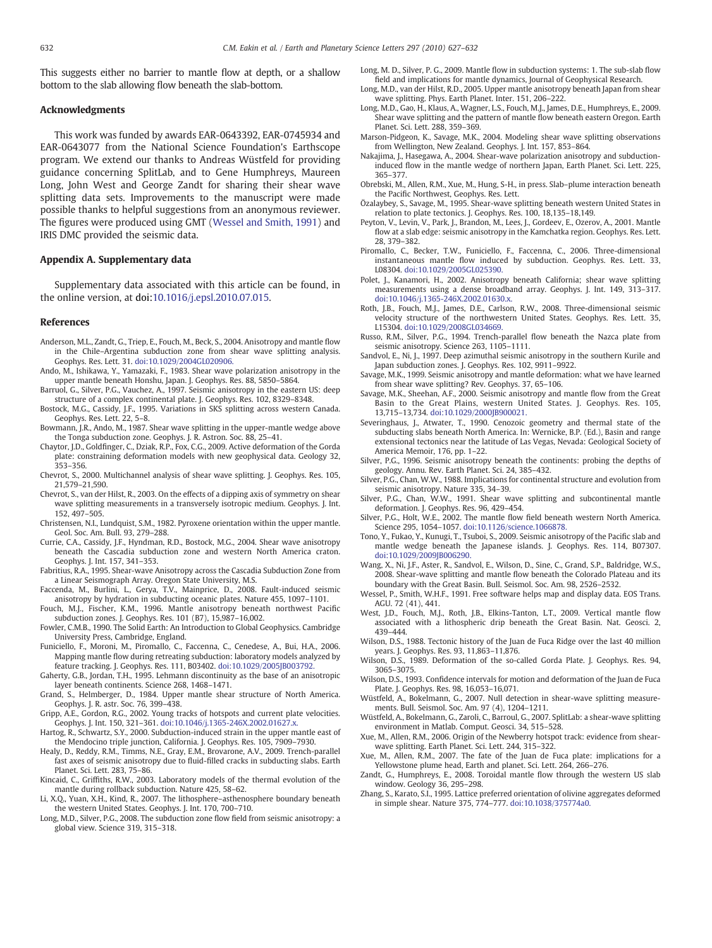This suggests either no barrier to mantle flow at depth, or a shallow bottom to the slab allowing flow beneath the slab-bottom.

#### Acknowledgments

This work was funded by awards EAR-0643392, EAR-0745934 and EAR-0643077 from the National Science Foundation's Earthscope program. We extend our thanks to Andreas Wüstfeld for providing guidance concerning SplitLab, and to Gene Humphreys, Maureen Long, John West and George Zandt for sharing their shear wave splitting data sets. Improvements to the manuscript were made possible thanks to helpful suggestions from an anonymous reviewer. The figures were produced using GMT [\(Wessel and Smith, 1991\)](#page-5-0) and IRIS DMC provided the seismic data.

#### Appendix A. Supplementary data

Supplementary data associated with this article can be found, in the online version, at doi:[10.1016/j.epsl.2010.07.015](http://dx.doi.org/10.1016/j.epsl.2010.07.015).

#### References

- Anderson, M.L., Zandt, G., Triep, E., Fouch, M., Beck, S., 2004. Anisotropy and mantle flow in the Chile–Argentina subduction zone from shear wave splitting analysis. Geophys. Res. Lett. 31. doi:10.1029/2004GL020906.
- Ando, M., Ishikawa, Y., Yamazaki, F., 1983. Shear wave polarization anisotropy in the upper mantle beneath Honshu, Japan. J. Geophys. Res. 88, 5850–5864.
- Barruol, G., Silver, P.G., Vauchez, A., 1997. Seismic anisotropy in the eastern US: deep structure of a complex continental plate. J. Geophys. Res. 102, 8329–8348.
- Bostock, M.G., Cassidy, J.F., 1995. Variations in SKS splitting across western Canada. Geophys. Res. Lett. 22, 5–8.
- Bowmann, J.R., Ando, M., 1987. Shear wave splitting in the upper-mantle wedge above the Tonga subduction zone. Geophys. J. R. Astron. Soc. 88, 25–41.
- Chaytor, J.D., Goldfinger, C., Dziak, R.P., Fox, C.G., 2009. Active deformation of the Gorda plate: constraining deformation models with new geophysical data. Geology 32, 353–356.
- Chevrot, S., 2000. Multichannel analysis of shear wave splitting. J. Geophys. Res. 105, 21,579–21,590.
- Chevrot, S., van der Hilst, R., 2003. On the effects of a dipping axis of symmetry on shear wave splitting measurements in a transversely isotropic medium. Geophys. J. Int. 152, 497–505.
- Christensen, N.I., Lundquist, S.M., 1982. Pyroxene orientation within the upper mantle. Geol. Soc. Am. Bull. 93, 279–288.
- Currie, C.A., Cassidy, J.F., Hyndman, R.D., Bostock, M.G., 2004. Shear wave anisotropy beneath the Cascadia subduction zone and western North America craton. Geophys. J. Int. 157, 341–353.
- Fabritius, R.A., 1995. Shear-wave Anisotropy across the Cascadia Subduction Zone from a Linear Seismograph Array. Oregon State University, M.S.
- Faccenda, M., Burlini, L., Gerya, T.V., Mainprice, D., 2008. Fault-induced seismic anisotropy by hydration in subducting oceanic plates. Nature 455, 1097–1101.
- Fouch, M.J., Fischer, K.M., 1996. Mantle anisotropy beneath northwest Pacific subduction zones. J. Geophys. Res. 101 (B7), 15,987–16,002.
- Fowler, C.M.B., 1990. The Solid Earth: An Introduction to Global Geophysics. Cambridge University Press, Cambridge, England.
- Funiciello, F., Moroni, M., Piromallo, C., Faccenna, C., Cenedese, A., Bui, H.A., 2006. Mapping mantle flow during retreating subduction: laboratory models analyzed by feature tracking. J. Geophys. Res. 111, B03402. doi:10.1029/2005JB003792.
- Gaherty, G.B., Jordan, T.H., 1995. Lehmann discontinuity as the base of an anisotropic layer beneath continents. Science 268, 1468–1471.
- Grand, S., Helmberger, D., 1984. Upper mantle shear structure of North America. Geophys. J. R. astr. Soc. 76, 399–438.
- Gripp, A.E., Gordon, R.G., 2002. Young tracks of hotspots and current plate velocities. Geophys. J. Int. 150, 321–361. doi:10.1046/j.1365-246X.2002.01627.x.
- Hartog, R., Schwartz, S.Y., 2000. Subduction-induced strain in the upper mantle east of the Mendocino triple junction, California. J. Geophys. Res. 105, 7909–7930.
- Healy, D., Reddy, R.M., Timms, N.E., Gray, E.M., Brovarone, A.V., 2009. Trench-parallel fast axes of seismic anisotropy due to fluid-filled cracks in subducting slabs. Earth Planet. Sci. Lett. 283, 75–86.
- Kincaid, C., Griffiths, R.W., 2003. Laboratory models of the thermal evolution of the mantle during rollback subduction. Nature 425, 58–62.
- Li, X.Q., Yuan, X.H., Kind, R., 2007. The lithosphere–asthenosphere boundary beneath the western United States. Geophys. J. Int. 170, 700–710.
- <span id="page-5-0"></span>Long, M.D., Silver, P.G., 2008. The subduction zone flow field from seismic anisotropy: a global view. Science 319, 315–318.
- Long, M. D., Silver, P. G., 2009. Mantle flow in subduction systems: 1. The sub-slab flow field and implications for mantle dynamics, Journal of Geophysical Research.
- Long, M.D., van der Hilst, R.D., 2005. Upper mantle anisotropy beneath Japan from shear wave splitting. Phys. Earth Planet. Inter. 151, 206–222.
- Long, M.D., Gao, H., Klaus, A., Wagner, L.S., Fouch, M.J., James, D.E., Humphreys, E., 2009. Shear wave splitting and the pattern of mantle flow beneath eastern Oregon. Earth Planet. Sci. Lett. 288, 359–369.
- Marson-Pidgeon, K., Savage, M.K., 2004. Modeling shear wave splitting observations from Wellington, New Zealand. Geophys. J. Int. 157, 853–864.
- Nakajima, J., Hasegawa, A., 2004. Shear-wave polarization anisotropy and subductioninduced flow in the mantle wedge of northern Japan, Earth Planet. Sci. Lett. 225, 365–377.
- Obrebski, M., Allen, R.M., Xue, M., Hung, S-H., in press. Slab–plume interaction beneath the Pacific Northwest, Geophys. Res. Lett.
- Özalaybey, S., Savage, M., 1995. Shear-wave splitting beneath western United States in relation to plate tectonics. J. Geophys. Res. 100, 18,135–18,149.
- Peyton, V., Levin, V., Park, J., Brandon, M., Lees, J., Gordeev, E., Ozerov, A., 2001. Mantle flow at a slab edge: seismic anisotropy in the Kamchatka region. Geophys. Res. Lett. 28, 379–382.
- Piromallo, C., Becker, T.W., Funiciello, F., Faccenna, C., 2006. Three-dimensional instantaneous mantle flow induced by subduction. Geophys. Res. Lett. 33, L08304. doi:10.1029/2005GL025390.
- Polet, J., Kanamori, H., 2002. Anisotropy beneath California; shear wave splitting measurements using a dense broadband array. Geophys. J. Int. 149, 313–317. doi:10.1046/j.1365-246X.2002.01630.x.
- Roth, J.B., Fouch, M.J., James, D.E., Carlson, R.W., 2008. Three-dimensional seismic velocity structure of the northwestern United States. Geophys. Res. Lett. 35, L15304. doi:10.1029/2008GL034669.
- Russo, R.M., Silver, P.G., 1994. Trench-parallel flow beneath the Nazca plate from seismic anisotropy. Science 263, 1105–1111.
- Sandvol, E., Ni, J., 1997. Deep azimuthal seismic anisotropy in the southern Kurile and Japan subduction zones. J. Geophys. Res. 102, 9911–9922.
- Savage, M.K., 1999. Seismic anisotropy and mantle deformation: what we have learned from shear wave splitting? Rev. Geophys. 37, 65–106.
- Savage, M.K., Sheehan, A.F., 2000. Seismic anisotropy and mantle flow from the Great Basin to the Great Plains, western United States. J. Geophys. Res. 105, 13,715–13,734. doi:10.1029/2000JB900021.
- Severinghaus, J., Atwater, T., 1990. Cenozoic geometry and thermal state of the subducting slabs beneath North America. In: Wernicke, B.P. (Ed.), Basin and range extensional tectonics near the latitude of Las Vegas, Nevada: Geological Society of America Memoir, 176, pp. 1–22.
- Silver, P.G., 1996. Seismic anisotropy beneath the continents: probing the depths of geology. Annu. Rev. Earth Planet. Sci. 24, 385–432.
- Silver, P.G., Chan, W.W., 1988. Implications for continental structure and evolution from seismic anisotropy. Nature 335, 34–39.
- Silver, P.G., Chan, W.W., 1991. Shear wave splitting and subcontinental mantle deformation. J. Geophys. Res. 96, 429–454.
- Silver, P.G., Holt, W.E., 2002. The mantle flow field beneath western North America. Science 295, 1054–1057. doi:10.1126/science.1066878.
- Tono, Y., Fukao, Y., Kunugi, T., Tsuboi, S., 2009. Seismic anisotropy of the Pacific slab and mantle wedge beneath the Japanese islands. J. Geophys. Res. 114, B07307. doi:10.1029/2009JB006290.
- Wang, X., Ni, J.F., Aster, R., Sandvol, E., Wilson, D., Sine, C., Grand, S.P., Baldridge, W.S., 2008. Shear-wave splitting and mantle flow beneath the Colorado Plateau and its boundary with the Great Basin. Bull. Seismol. Soc. Am. 98, 2526–2532.
- Wessel, P., Smith, W.H.F., 1991. Free software helps map and display data. EOS Trans. AGU. 72 (41), 441.
- West, J.D., Fouch, M.J., Roth, J.B., Elkins-Tanton, L.T., 2009. Vertical mantle flow associated with a lithospheric drip beneath the Great Basin. Nat. Geosci. 2, 439–444.
- Wilson, D.S., 1988. Tectonic history of the Juan de Fuca Ridge over the last 40 million years. J. Geophys. Res. 93, 11,863–11,876.
- Wilson, D.S., 1989. Deformation of the so-called Gorda Plate. J. Geophys. Res. 94, 3065–3075.
- Wilson, D.S., 1993. Confidence intervals for motion and deformation of the Juan de Fuca Plate. J. Geophys. Res. 98, 16,053–16,071.
- Wüstfeld, A., Bokelmann, G., 2007. Null detection in shear-wave splitting measurements. Bull. Seismol. Soc. Am. 97 (4), 1204–1211.
- Wüstfeld, A., Bokelmann, G., Zaroli, C., Barroul, G., 2007. SplitLab: a shear-wave splitting environment in Matlab. Comput. Geosci. 34, 515–528.
- Xue, M., Allen, R.M., 2006. Origin of the Newberry hotspot track: evidence from shearwave splitting. Earth Planet. Sci. Lett. 244, 315–322.
- Xue, M., Allen, R.M., 2007. The fate of the Juan de Fuca plate: implications for a Yellowstone plume head, Earth and planet. Sci. Lett. 264, 266–276.
- Zandt, G., Humphreys, E., 2008. Toroidal mantle flow through the western US slab window. Geology 36, 295–298.
- Zhang, S., Karato, S.I., 1995. Lattice preferred orientation of olivine aggregates deformed in simple shear. Nature 375, 774–777. doi:10.1038/375774a0.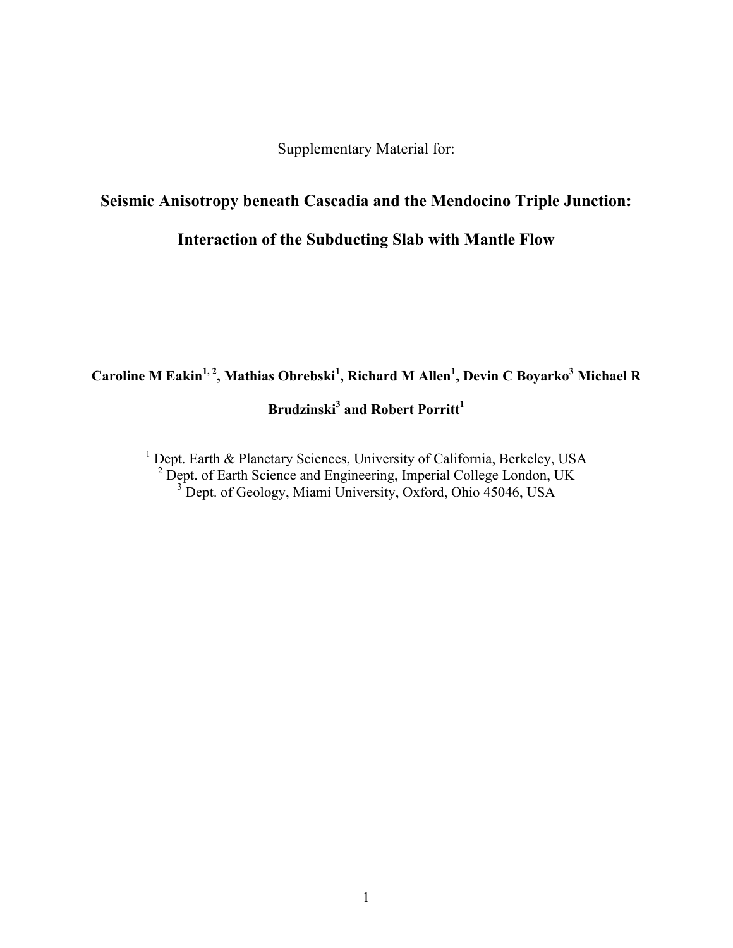Supplementary Material for:

### **Seismic Anisotropy beneath Cascadia and the Mendocino Triple Junction:**

### **Interaction of the Subducting Slab with Mantle Flow**

### $\bf{C}$ aroline M Eakin<sup>1, 2</sup>, Mathias Obrebski<sup>1</sup>, Richard M Allen<sup>1</sup>, Devin C Boyarko<sup>3</sup> Michael R

### $\mathbf{Brudzinski}^3$  and Robert Porritt<sup>1</sup>

<sup>1</sup> Dept. Earth & Planetary Sciences, University of California, Berkeley, USA<br>
<sup>2</sup> Dept. of Earth Science and Engineering, Imperial College London, UK<br>
<sup>3</sup> Dept. of Geology, Miami University, Oxford, Ohio 45046, USA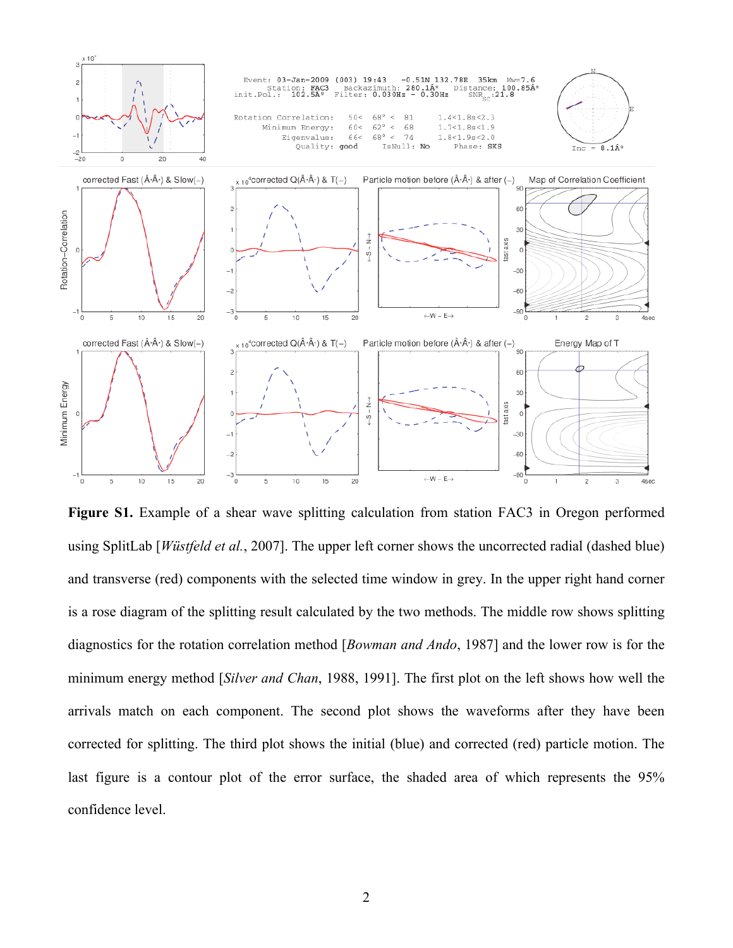

**Figure S1.** Example of a shear wave splitting calculation from station FAC3 in Oregon performed using SplitLab [*Wüstfeld et al.*, 2007]. The upper left corner shows the uncorrected radial (dashed blue) and transverse (red) components with the selected time window in grey. In the upper right hand corner is a rose diagram of the splitting result calculated by the two methods. The middle row shows splitting diagnostics for the rotation correlation method [*Bowman and Ando*, 1987] and the lower row is for the minimum energy method [*Silver and Chan*, 1988, 1991]. The first plot on the left shows how well the arrivals match on each component. The second plot shows the waveforms after they have been corrected for splitting. The third plot shows the initial (blue) and corrected (red) particle motion. The last figure is a contour plot of the error surface, the shaded area of which represents the 95% confidence level.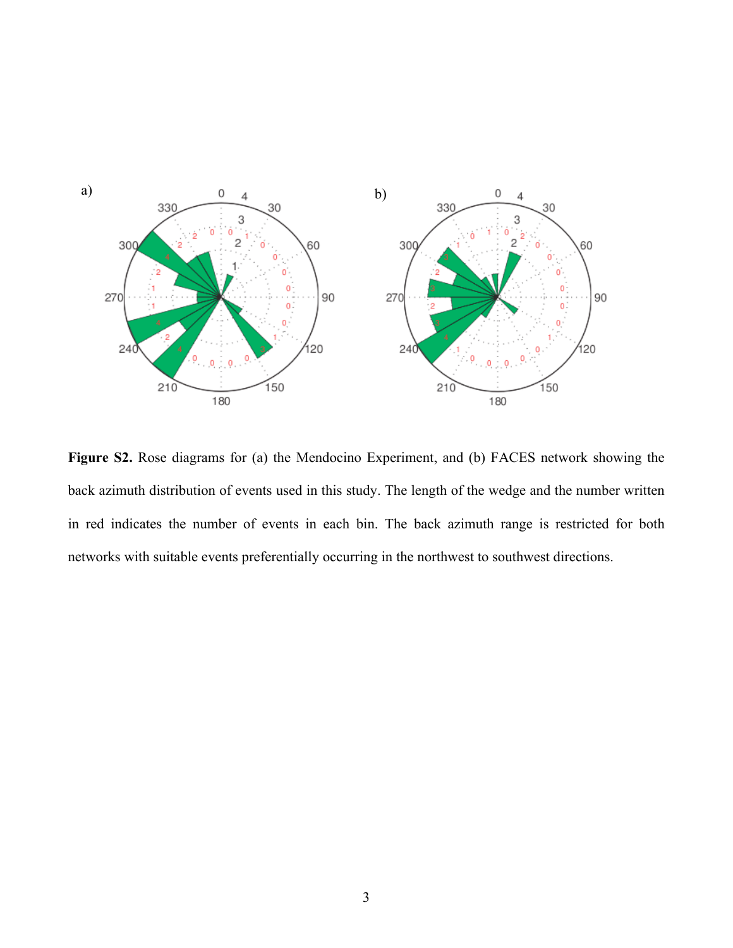

**Figure S2.** Rose diagrams for (a) the Mendocino Experiment, and (b) FACES network showing the back azimuth distribution of events used in this study. The length of the wedge and the number written in red indicates the number of events in each bin. The back azimuth range is restricted for both networks with suitable events preferentially occurring in the northwest to southwest directions.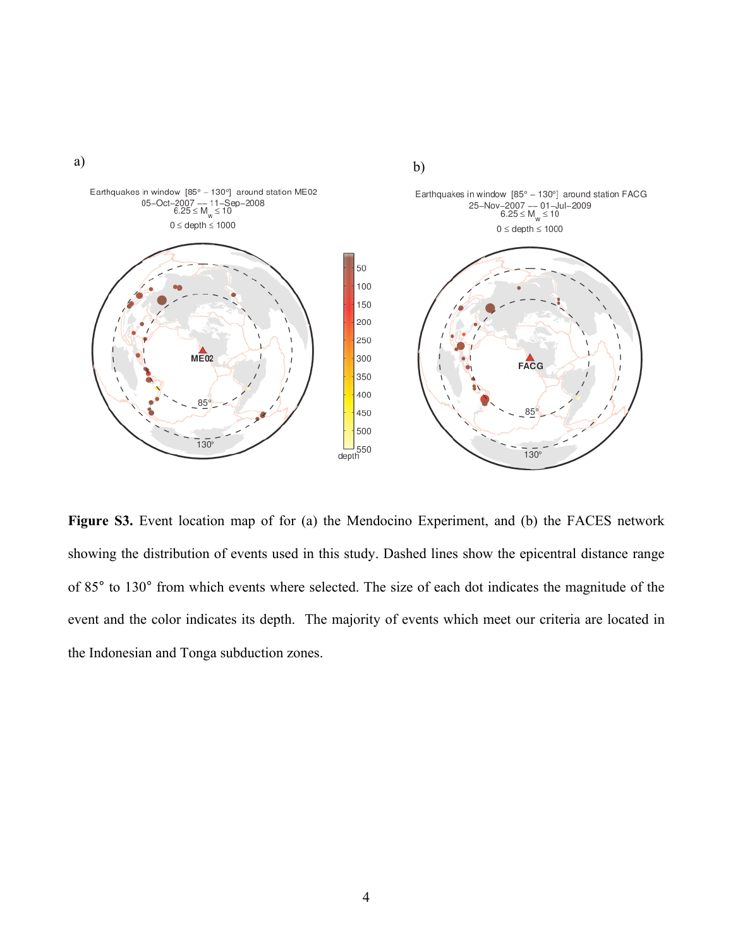

**Figure S3.** Event location map of for (a) the Mendocino Experiment, and (b) the FACES network showing the distribution of events used in this study. Dashed lines show the epicentral distance range of 85° to 130° from which events where selected. The size of each dot indicates the magnitude of the event and the color indicates its depth. The majority of events which meet our criteria are located in the Indonesian and Tonga subduction zones.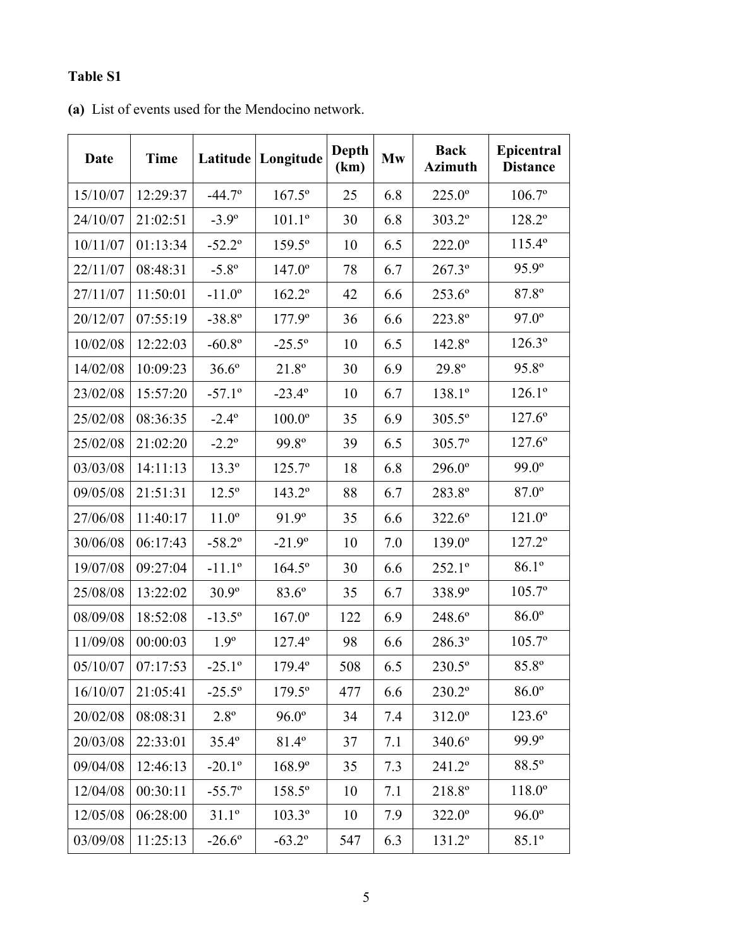### **Table S1**

| <b>Date</b> | Time     |                 | Latitude   Longitude | Depth<br>(km) | Mw  | <b>Back</b><br><b>Azimuth</b> | Epicentral<br><b>Distance</b> |
|-------------|----------|-----------------|----------------------|---------------|-----|-------------------------------|-------------------------------|
| 15/10/07    | 12:29:37 | $-44.7$ °       | $167.5^{\circ}$      | 25            | 6.8 | $225.0^{\circ}$               | $106.7^{\circ}$               |
| 24/10/07    | 21:02:51 | $-3.9^{\circ}$  | $101.1^{\circ}$      | 30            | 6.8 | 303.2°                        | $128.2^{\circ}$               |
| 10/11/07    | 01:13:34 | $-52.2^{\circ}$ | $159.5^{\circ}$      | 10            | 6.5 | $222.0^{\circ}$               | $115.4^{\circ}$               |
| 22/11/07    | 08:48:31 | $-5.8^{\circ}$  | $147.0^{\circ}$      | 78            | 6.7 | $267.3^{\circ}$               | $95.9^{\circ}$                |
| 27/11/07    | 11:50:01 | $-11.0^{\circ}$ | $162.2^{\circ}$      | 42            | 6.6 | $253.6^{\circ}$               | 87.8°                         |
| 20/12/07    | 07:55:19 | $-38.8^{\circ}$ | $177.9^{\circ}$      | 36            | 6.6 | 223.8°                        | $97.0^{\circ}$                |
| 10/02/08    | 12:22:03 | $-60.8$ °       | $-25.5^{\circ}$      | 10            | 6.5 | 142.8°                        | $126.3^{\circ}$               |
| 14/02/08    | 10:09:23 | $36.6^\circ$    | $21.8^{\circ}$       | 30            | 6.9 | $29.8^{\circ}$                | 95.8°                         |
| 23/02/08    | 15:57:20 | $-57.1^{\circ}$ | $-23.4^{\circ}$      | 10            | 6.7 | 138.1°                        | $126.1^{\circ}$               |
| 25/02/08    | 08:36:35 | $-2.4^{\circ}$  | $100.0^{\circ}$      | 35            | 6.9 | $305.5^{\circ}$               | $127.6^{\circ}$               |
| 25/02/08    | 21:02:20 | $-2.2^{\circ}$  | 99.8°                | 39            | 6.5 | $305.7^{\circ}$               | $127.6^{\circ}$               |
| 03/03/08    | 14:11:13 | $13.3^{\circ}$  | $125.7^{\circ}$      | 18            | 6.8 | $296.0^{\circ}$               | $99.0^{\circ}$                |
| 09/05/08    | 21:51:31 | $12.5^{\circ}$  | $143.2^{\circ}$      | 88            | 6.7 | 283.8°                        | $87.0^\circ$                  |
| 27/06/08    | 11:40:17 | $11.0^\circ$    | 91.9°                | 35            | 6.6 | $322.6^{\circ}$               | $121.0^{\circ}$               |
| 30/06/08    | 06:17:43 | $-58.2^{\circ}$ | $-21.9^{\circ}$      | 10            | 7.0 | $139.0^{\circ}$               | $127.2^{\circ}$               |
| 19/07/08    | 09:27:04 | $-11.1^{\circ}$ | $164.5^{\circ}$      | 30            | 6.6 | $252.1^{\circ}$               | $86.1^{\circ}$                |
| 25/08/08    | 13:22:02 | $30.9^{\circ}$  | $83.6^{\circ}$       | 35            | 6.7 | 338.9°                        | $105.7^{\circ}$               |
| 08/09/08    | 18:52:08 | $-13.5^{\circ}$ | $167.0^{\circ}$      | 122           | 6.9 | $248.6^{\circ}$               | $86.0^\circ$                  |
| 11/09/08    | 00:00:03 | $1.9^\circ$     | $127.4^{\circ}$      | 98            | 6.6 | 286.3°                        | $105.7^{\circ}$               |
| 05/10/07    | 07:17:53 | $-25.1^{\circ}$ | 179.4°               | 508           | 6.5 | $230.5^{\circ}$               | 85.8°                         |
| 16/10/07    | 21:05:41 | $-25.5^{\circ}$ | $179.5^{\circ}$      | 477           | 6.6 | $230.2^{\circ}$               | $86.0^\circ$                  |
| 20/02/08    | 08:08:31 | $2.8^\circ$     | $96.0^{\circ}$       | 34            | 7.4 | $312.0^{\circ}$               | $123.6^{\circ}$               |
| 20/03/08    | 22:33:01 | $35.4^{\circ}$  | 81.4°                | 37            | 7.1 | $340.6^{\circ}$               | 99.9°                         |
| 09/04/08    | 12:46:13 | $-20.1^{\circ}$ | 168.9°               | 35            | 7.3 | $241.2^{\circ}$               | 88.5°                         |
| 12/04/08    | 00:30:11 | $-55.7^{\circ}$ | 158.5°               | 10            | 7.1 | 218.8°                        | $118.0^{\circ}$               |
| 12/05/08    | 06:28:00 | $31.1^{\circ}$  | $103.3^{\circ}$      | 10            | 7.9 | $322.0^{\circ}$               | $96.0^{\circ}$                |
| 03/09/08    | 11:25:13 | $-26.6^{\circ}$ | $-63.2^{\circ}$      | 547           | 6.3 | $131.2^{\circ}$               | $85.1^{\circ}$                |

**(a)** List of events used for the Mendocino network.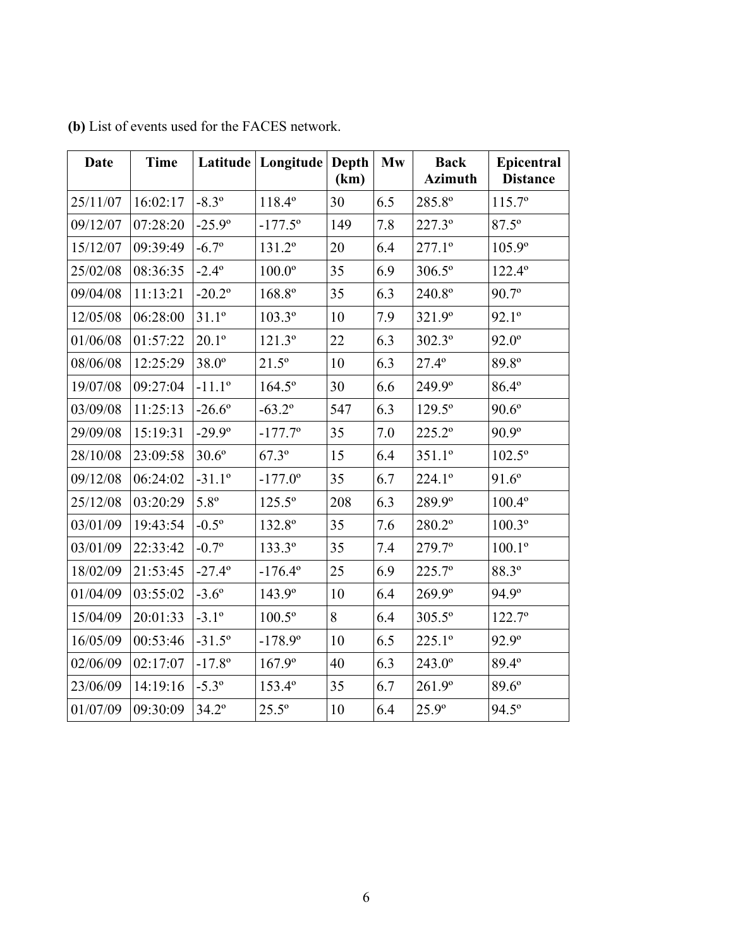| Date     | <b>Time</b> |                 | Latitude   Longitude | Depth<br>(km) | Mw  | <b>Back</b><br><b>Azimuth</b> | Epicentral<br><b>Distance</b> |
|----------|-------------|-----------------|----------------------|---------------|-----|-------------------------------|-------------------------------|
| 25/11/07 | 16:02:17    | $-8.3^{\circ}$  | $118.4^{\circ}$      | 30            | 6.5 | $285.8^{\circ}$               | $115.7^{\circ}$               |
| 09/12/07 | 07:28:20    | $-25.9^{\circ}$ | $-177.5^{\circ}$     | 149           | 7.8 | $227.3^{\circ}$               | $87.5^{\circ}$                |
| 15/12/07 | 09:39:49    | $-6.7^{\circ}$  | $131.2^{\circ}$      | 20            | 6.4 | $277.1^{\circ}$               | $105.9^{\circ}$               |
| 25/02/08 | 08:36:35    | $-2.4^{\circ}$  | $100.0^\circ$        | 35            | 6.9 | $306.5^{\circ}$               | $122.4^{\circ}$               |
| 09/04/08 | 11:13:21    | $-20.2^{\circ}$ | 168.8°               | 35            | 6.3 | 240.8°                        | $90.7^{\circ}$                |
| 12/05/08 | 06:28:00    | $31.1^{\circ}$  | $103.3^{\circ}$      | 10            | 7.9 | 321.9°                        | $92.1^{\circ}$                |
| 01/06/08 | 01:57:22    | $20.1^\circ$    | $121.3^{\circ}$      | 22            | 6.3 | 302.3°                        | $92.0^{\circ}$                |
| 08/06/08 | 12:25:29    | $38.0^\circ$    | $21.5^{\circ}$       | 10            | 6.3 | $27.4^{\circ}$                | $89.8^\circ$                  |
| 19/07/08 | 09:27:04    | $-11.1^{\circ}$ | $164.5^{\circ}$      | 30            | 6.6 | 249.9°                        | 86.4°                         |
| 03/09/08 | 11:25:13    | $-26.6^{\circ}$ | $-63.2$ <sup>o</sup> | 547           | 6.3 | $129.5^{\circ}$               | $90.6^{\circ}$                |
| 29/09/08 | 15:19:31    | $-29.9^{\circ}$ | $-177.7$ °           | 35            | 7.0 | $225.2^{\circ}$               | $90.9^{\circ}$                |
| 28/10/08 | 23:09:58    | $30.6^\circ$    | $67.3^{\circ}$       | 15            | 6.4 | $351.1^{\circ}$               | $102.5^{\circ}$               |
| 09/12/08 | 06:24:02    | $-31.1^{\circ}$ | $-177.0^{\circ}$     | 35            | 6.7 | $224.1^{\circ}$               | $91.6^{\circ}$                |
| 25/12/08 | 03:20:29    | $5.8^\circ$     | $125.5^{\circ}$      | 208           | 6.3 | 289.9°                        | $100.4^{\circ}$               |
| 03/01/09 | 19:43:54    | $-0.5^{\circ}$  | 132.8°               | 35            | 7.6 | $280.2^{\circ}$               | $100.3^{\circ}$               |
| 03/01/09 | 22:33:42    | $-0.7^{\circ}$  | 133.3°               | 35            | 7.4 | 279.7°                        | $100.1^{\circ}$               |
| 18/02/09 | 21:53:45    | $-27.4^{\circ}$ | $-176.4^{\circ}$     | 25            | 6.9 | $225.7^{\circ}$               | 88.3°                         |
| 01/04/09 | 03:55:02    | $-3.6^{\circ}$  | $143.9^{\circ}$      | 10            | 6.4 | 269.9°                        | 94.9°                         |
| 15/04/09 | 20:01:33    | $-3.1^{\circ}$  | $100.5^{\circ}$      | 8             | 6.4 | $305.5^{\circ}$               | $122.7^{\circ}$               |
| 16/05/09 | 00:53:46    | $-31.5^{\circ}$ | $-178.9$ °           | 10            | 6.5 | $225.1^{\circ}$               | $92.9^{\circ}$                |
| 02/06/09 | 02:17:07    | $-17.8$ °       | $167.9^{\circ}$      | 40            | 6.3 | $243.0^{\circ}$               | 89.4°                         |
| 23/06/09 | 14:19:16    | $-5.3^{\circ}$  | $153.4^{\circ}$      | 35            | 6.7 | $261.9^{\circ}$               | $89.6^\circ$                  |
| 01/07/09 | 09:30:09    | $34.2^{\circ}$  | $25.5^{\circ}$       | 10            | 6.4 | $25.9^{\circ}$                | $94.5^{\circ}$                |

**(b)** List of events used for the FACES network.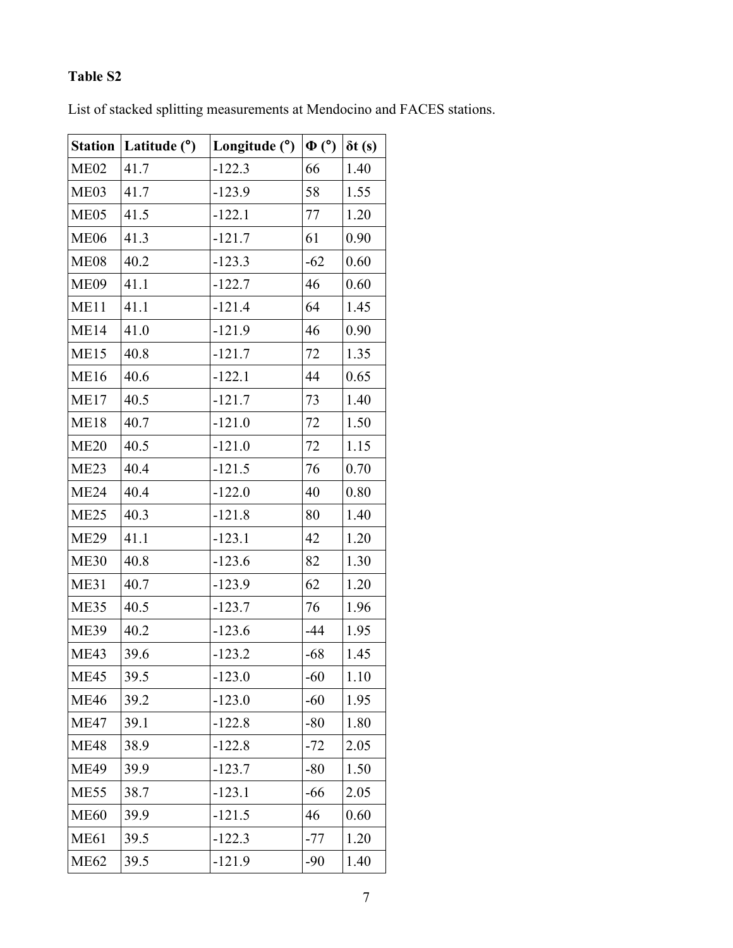# **Table S2**

| <b>Station</b>   | Latitude $(°)$ | Longitude $(°)$ | $\Phi$ (°) | $\delta t(s)$ |
|------------------|----------------|-----------------|------------|---------------|
| ME <sub>02</sub> | 41.7           | $-122.3$        | 66         | 1.40          |
| ME03             | 41.7           | $-123.9$        | 58         | 1.55          |
| ME <sub>05</sub> | 41.5           | $-122.1$        | 77         | 1.20          |
| <b>ME06</b>      | 41.3           | $-121.7$        | 61         | 0.90          |
| <b>ME08</b>      | 40.2           | $-123.3$        | $-62$      | 0.60          |
| <b>ME09</b>      | 41.1           | $-122.7$        | 46         | 0.60          |
| <b>ME11</b>      | 41.1           | $-121.4$        | 64         | 1.45          |
| <b>ME14</b>      | 41.0           | $-121.9$        | 46         | 0.90          |
| <b>ME15</b>      | 40.8           | $-121.7$        | 72         | 1.35          |
| <b>ME16</b>      | 40.6           | $-122.1$        | 44         | 0.65          |
| ME17             | 40.5           | $-121.7$        | 73         | 1.40          |
| <b>ME18</b>      | 40.7           | $-121.0$        | 72         | 1.50          |
| <b>ME20</b>      | 40.5           | $-121.0$        | 72         | 1.15          |
| ME23             | 40.4           | $-121.5$        | 76         | 0.70          |
| <b>ME24</b>      | 40.4           | $-122.0$        | 40         | 0.80          |
| <b>ME25</b>      | 40.3           | $-121.8$        | 80         | 1.40          |
| <b>ME29</b>      | 41.1           | $-123.1$        | 42         | 1.20          |
| <b>ME30</b>      | 40.8           | $-123.6$        | 82         | 1.30          |
| ME31             | 40.7           | $-123.9$        | 62         | 1.20          |
| <b>ME35</b>      | 40.5           | $-123.7$        | 76         | 1.96          |
| <b>ME39</b>      | 40.2           | $-123.6$        | -44        | 1.95          |
| <b>ME43</b>      | 39.6           | $-123.2$        | $-68$      | 1.45          |
| <b>ME45</b>      | 39.5           | $-123.0$        | $-60$      | 1.10          |
| <b>ME46</b>      | 39.2           | $-123.0$        | $-60$      | 1.95          |
| ME47             | 39.1           | $-122.8$        | $-80$      | 1.80          |
| <b>ME48</b>      | 38.9           | $-122.8$        | $-72$      | 2.05          |
| <b>ME49</b>      | 39.9           | $-123.7$        | $-80$      | 1.50          |
| <b>ME55</b>      | 38.7           | $-123.1$        | -66        | 2.05          |
| <b>ME60</b>      | 39.9           | $-121.5$        | 46         | 0.60          |
| <b>ME61</b>      | 39.5           | $-122.3$        | $-77$      | 1.20          |
| <b>ME62</b>      | 39.5           | $-121.9$        | $-90$      | 1.40          |

List of stacked splitting measurements at Mendocino and FACES stations.